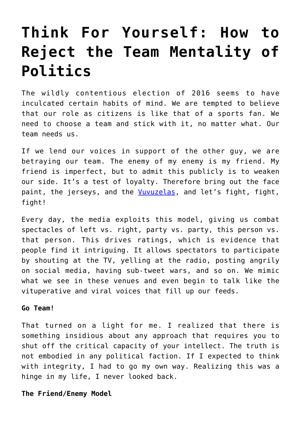# **[Think For Yourself: How to](https://intellectualtakeout.org/2017/01/think-for-yourself-how-to-reject-the-team-mentality-of-politics/) [Reject the Team Mentality of](https://intellectualtakeout.org/2017/01/think-for-yourself-how-to-reject-the-team-mentality-of-politics/) [Politics](https://intellectualtakeout.org/2017/01/think-for-yourself-how-to-reject-the-team-mentality-of-politics/)**

The wildly contentious election of 2016 seems to have inculcated certain habits of mind. We are tempted to believe that our role as citizens is like that of a sports fan. We need to choose a team and stick with it, no matter what. Our team needs us.

If we lend our voices in support of the other guy, we are betraying our team. The enemy of my enemy is my friend. My friend is imperfect, but to admit this publicly is to weaken our side. It's a test of loyalty. Therefore bring out the face paint, the jerseys, and the [Vuvuzelas,](https://simple.wikipedia.org/wiki/Vuvuzela) and let's fight, fight, fight!

Every day, the media exploits this model, giving us combat spectacles of left vs. right, party vs. party, this person vs. that person. This drives ratings, which is evidence that people find it intriguing. It allows spectators to participate by shouting at the TV, yelling at the radio, posting angrily on social media, having sub-tweet wars, and so on. We mimic what we see in these venues and even begin to talk like the vituperative and viral voices that fill up our feeds.

### **Go Team!**

That turned on a light for me. I realized that there is something insidious about any approach that requires you to shut off the critical capacity of your intellect. The truth is not embodied in any political faction. If I expected to think with integrity, I had to go my own way. Realizing this was a hinge in my life, I never looked back.

### **The Friend/Enemy Model**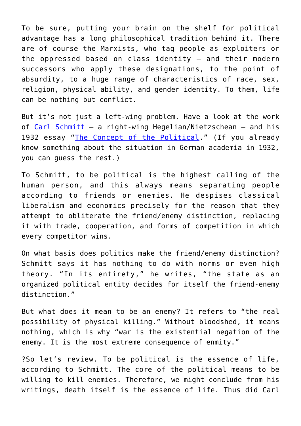To be sure, putting your brain on the shelf for political advantage has a long philosophical tradition behind it. There are of course the Marxists, who tag people as exploiters or the oppressed based on class identity – and their modern successors who apply these designations, to the point of absurdity, to a huge range of characteristics of race, sex, religion, physical ability, and gender identity. To them, life can be nothing but conflict.

But it's not just a left-wing problem. Have a look at the work of [Carl Schmitt –](https://fee.org/articles/carl-schmitt-the-philosopher-of-conflict-who-inspired-both-the-left-and-the-right/) a right-wing Hegelian/Nietzschean – and his 1932 essay "[The Concept of the Political](https://en.wikipedia.org/wiki/The_Concept_of_the_Political)." (If you already know something about the situation in German academia in 1932, you can guess the rest.)

To Schmitt, to be political is the highest calling of the human person, and this always means separating people according to friends or enemies. He despises classical liberalism and economics precisely for the reason that they attempt to obliterate the friend/enemy distinction, replacing it with trade, cooperation, and forms of competition in which every competitor wins.

On what basis does politics make the friend/enemy distinction? Schmitt says it has nothing to do with norms or even high theory. "In its entirety," he writes, "the state as an organized political entity decides for itself the friend-enemy distinction."

But what does it mean to be an enemy? It refers to "the real possibility of physical killing." Without bloodshed, it means nothing, which is why "war is the existential negation of the enemy. It is the most extreme consequence of enmity."

?So let's review. To be political is the essence of life, according to Schmitt. The core of the political means to be willing to kill enemies. Therefore, we might conclude from his writings, death itself is the essence of life. Thus did Carl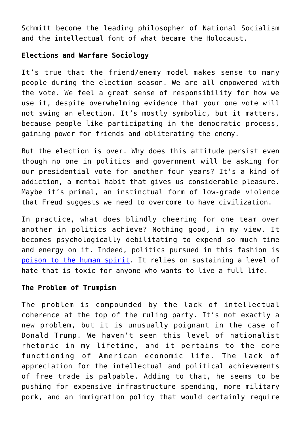Schmitt become the leading philosopher of National Socialism and the intellectual font of what became the Holocaust.

## **Elections and Warfare Sociology**

It's true that the friend/enemy model makes sense to many people during the election season. We are all empowered with the vote. We feel a great sense of responsibility for how we use it, despite overwhelming evidence that your one vote will not swing an election. It's mostly symbolic, but it matters, because people like participating in the democratic process, gaining power for friends and obliterating the enemy.

But the election is over. Why does this attitude persist even though no one in politics and government will be asking for our presidential vote for another four years? It's a kind of addiction, a mental habit that gives us considerable pleasure. Maybe it's primal, an instinctual form of low-grade violence that Freud suggests we need to overcome to have civilization.

In practice, what does blindly cheering for one team over another in politics achieve? Nothing good, in my view. It becomes psychologically debilitating to expend so much time and energy on it. Indeed, politics pursued in this fashion is [poison to the human spirit](https://fee.org/articles/why-politics-is-depressing/). It relies on sustaining a level of hate that is toxic for anyone who wants to live a full life.

## **The Problem of Trumpism**

The problem is compounded by the lack of intellectual coherence at the top of the ruling party. It's not exactly a new problem, but it is unusually poignant in the case of Donald Trump. We haven't seen this level of nationalist rhetoric in my lifetime, and it pertains to the core functioning of American economic life. The lack of appreciation for the intellectual and political achievements of free trade is palpable. Adding to that, he seems to be pushing for expensive infrastructure spending, more military pork, and an immigration policy that would certainly require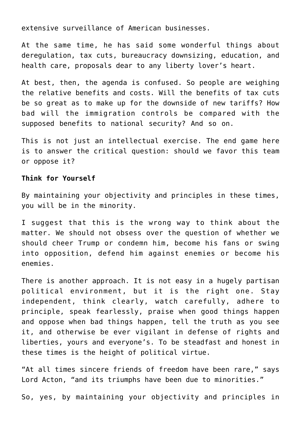extensive surveillance of American businesses.

At the same time, he has said some wonderful things about deregulation, tax cuts, bureaucracy downsizing, education, and health care, proposals dear to any liberty lover's heart.

At best, then, the agenda is confused. So people are weighing the relative benefits and costs. Will the benefits of tax cuts be so great as to make up for the downside of new tariffs? How bad will the immigration controls be compared with the supposed benefits to national security? And so on.

This is not just an intellectual exercise. The end game here is to answer the critical question: should we favor this team or oppose it?

## **Think for Yourself**

By maintaining your objectivity and principles in these times, you will be in the minority.

I suggest that this is the wrong way to think about the matter. We should not obsess over the question of whether we should cheer Trump or condemn him, become his fans or swing into opposition, defend him against enemies or become his enemies.

There is another approach. It is not easy in a hugely partisan political environment, but it is the right one. Stay independent, think clearly, watch carefully, adhere to principle, speak fearlessly, praise when good things happen and oppose when bad things happen, tell the truth as you see it, and otherwise be ever vigilant in defense of rights and liberties, yours and everyone's. To be steadfast and honest in these times is the height of political virtue.

"At all times sincere friends of freedom have been rare," says Lord Acton, "and its triumphs have been due to minorities."

So, yes, by maintaining your objectivity and principles in